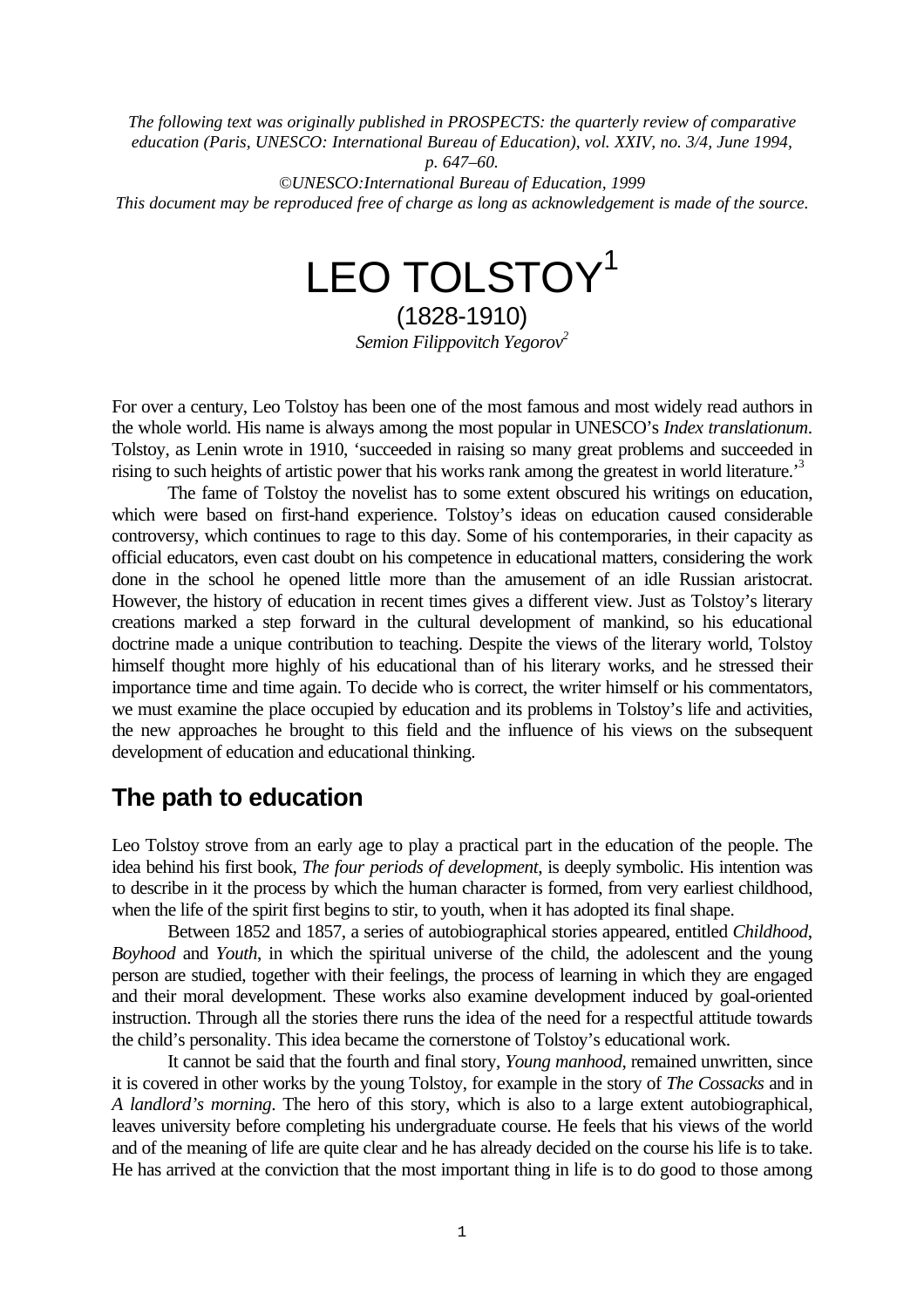*The following text was originally published in PROSPECTS: the quarterly review of comparative education (Paris, UNESCO: International Bureau of Education), vol. XXIV, no. 3/4, June 1994, p. 647–60.*

*©UNESCO:International Bureau of Education, 1999 This document may be reproduced free of charge as long as acknowledgement is made of the source.*



For over a century, Leo Tolstoy has been one of the most famous and most widely read authors in the whole world. His name is always among the most popular in UNESCO's *Index translationum*. Tolstoy, as Lenin wrote in 1910, 'succeeded in raising so many great problems and succeeded in rising to such heights of artistic power that his works rank among the greatest in world literature.<sup>3</sup>

The fame of Tolstoy the novelist has to some extent obscured his writings on education, which were based on first-hand experience. Tolstoy's ideas on education caused considerable controversy, which continues to rage to this day. Some of his contemporaries, in their capacity as official educators, even cast doubt on his competence in educational matters, considering the work done in the school he opened little more than the amusement of an idle Russian aristocrat. However, the history of education in recent times gives a different view. Just as Tolstoy's literary creations marked a step forward in the cultural development of mankind, so his educational doctrine made a unique contribution to teaching. Despite the views of the literary world, Tolstoy himself thought more highly of his educational than of his literary works, and he stressed their importance time and time again. To decide who is correct, the writer himself or his commentators, we must examine the place occupied by education and its problems in Tolstoy's life and activities, the new approaches he brought to this field and the influence of his views on the subsequent development of education and educational thinking.

# **The path to education**

Leo Tolstoy strove from an early age to play a practical part in the education of the people. The idea behind his first book, *The four periods of development*, is deeply symbolic. His intention was to describe in it the process by which the human character is formed, from very earliest childhood, when the life of the spirit first begins to stir, to youth, when it has adopted its final shape.

Between 1852 and 1857, a series of autobiographical stories appeared, entitled *Childhood*, *Boyhood* and *Youth*, in which the spiritual universe of the child, the adolescent and the young person are studied, together with their feelings, the process of learning in which they are engaged and their moral development. These works also examine development induced by goal-oriented instruction. Through all the stories there runs the idea of the need for a respectful attitude towards the child's personality. This idea became the cornerstone of Tolstoy's educational work.

It cannot be said that the fourth and final story, *Young manhood*, remained unwritten, since it is covered in other works by the young Tolstoy, for example in the story of *The Cossacks* and in *A landlord's morning*. The hero of this story, which is also to a large extent autobiographical, leaves university before completing his undergraduate course. He feels that his views of the world and of the meaning of life are quite clear and he has already decided on the course his life is to take. He has arrived at the conviction that the most important thing in life is to do good to those among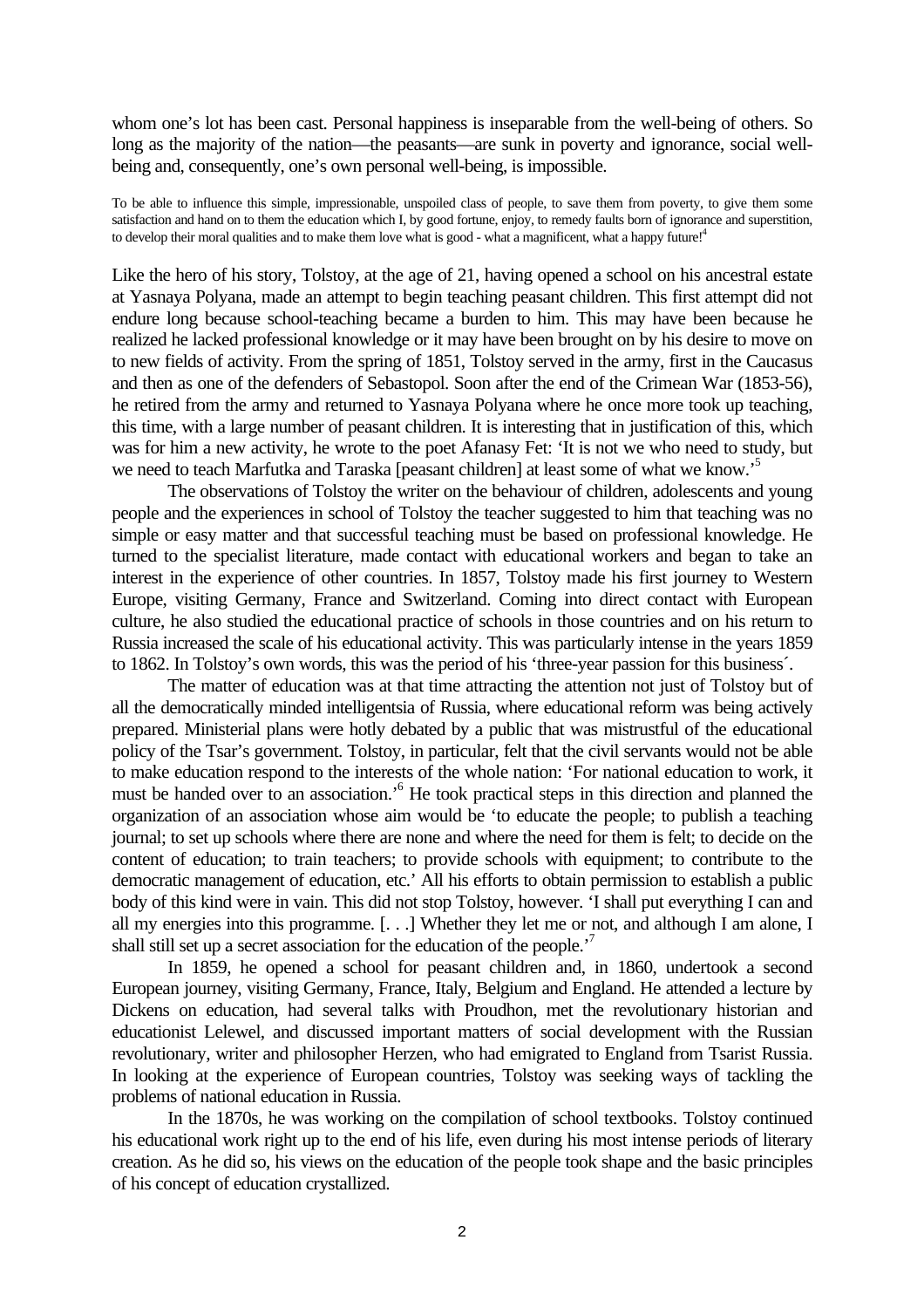whom one's lot has been cast. Personal happiness is inseparable from the well-being of others. So long as the majority of the nation—the peasants—are sunk in poverty and ignorance, social wellbeing and, consequently, one's own personal well-being, is impossible.

To be able to influence this simple, impressionable, unspoiled class of people, to save them from poverty, to give them some satisfaction and hand on to them the education which I, by good fortune, enjoy, to remedy faults born of ignorance and superstition, to develop their moral qualities and to make them love what is good - what a magnificent, what a happy future!<sup>4</sup>

Like the hero of his story, Tolstoy, at the age of 21, having opened a school on his ancestral estate at Yasnaya Polyana, made an attempt to begin teaching peasant children. This first attempt did not endure long because school-teaching became a burden to him. This may have been because he realized he lacked professional knowledge or it may have been brought on by his desire to move on to new fields of activity. From the spring of 1851, Tolstoy served in the army, first in the Caucasus and then as one of the defenders of Sebastopol. Soon after the end of the Crimean War (1853-56), he retired from the army and returned to Yasnaya Polyana where he once more took up teaching, this time, with a large number of peasant children. It is interesting that in justification of this, which was for him a new activity, he wrote to the poet Afanasy Fet: 'It is not we who need to study, but we need to teach Marfutka and Taraska [peasant children] at least some of what we know.'<sup>5</sup>

The observations of Tolstoy the writer on the behaviour of children, adolescents and young people and the experiences in school of Tolstoy the teacher suggested to him that teaching was no simple or easy matter and that successful teaching must be based on professional knowledge. He turned to the specialist literature, made contact with educational workers and began to take an interest in the experience of other countries. In 1857, Tolstoy made his first journey to Western Europe, visiting Germany, France and Switzerland. Coming into direct contact with European culture, he also studied the educational practice of schools in those countries and on his return to Russia increased the scale of his educational activity. This was particularly intense in the years 1859 to 1862. In Tolstoy's own words, this was the period of his 'three-year passion for this business´.

The matter of education was at that time attracting the attention not just of Tolstoy but of all the democratically minded intelligentsia of Russia, where educational reform was being actively prepared. Ministerial plans were hotly debated by a public that was mistrustful of the educational policy of the Tsar's government. Tolstoy, in particular, felt that the civil servants would not be able to make education respond to the interests of the whole nation: 'For national education to work, it must be handed over to an association.<sup>6</sup> He took practical steps in this direction and planned the organization of an association whose aim would be 'to educate the people; to publish a teaching journal; to set up schools where there are none and where the need for them is felt; to decide on the content of education; to train teachers; to provide schools with equipment; to contribute to the democratic management of education, etc.' All his efforts to obtain permission to establish a public body of this kind were in vain. This did not stop Tolstoy, however. 'I shall put everything I can and all my energies into this programme. [. . .] Whether they let me or not, and although I am alone, I shall still set up a secret association for the education of the people.<sup>7</sup>

In 1859, he opened a school for peasant children and, in 1860, undertook a second European journey, visiting Germany, France, Italy, Belgium and England. He attended a lecture by Dickens on education, had several talks with Proudhon, met the revolutionary historian and educationist Lelewel, and discussed important matters of social development with the Russian revolutionary, writer and philosopher Herzen, who had emigrated to England from Tsarist Russia. In looking at the experience of European countries, Tolstoy was seeking ways of tackling the problems of national education in Russia.

In the 1870s, he was working on the compilation of school textbooks. Tolstoy continued his educational work right up to the end of his life, even during his most intense periods of literary creation. As he did so, his views on the education of the people took shape and the basic principles of his concept of education crystallized.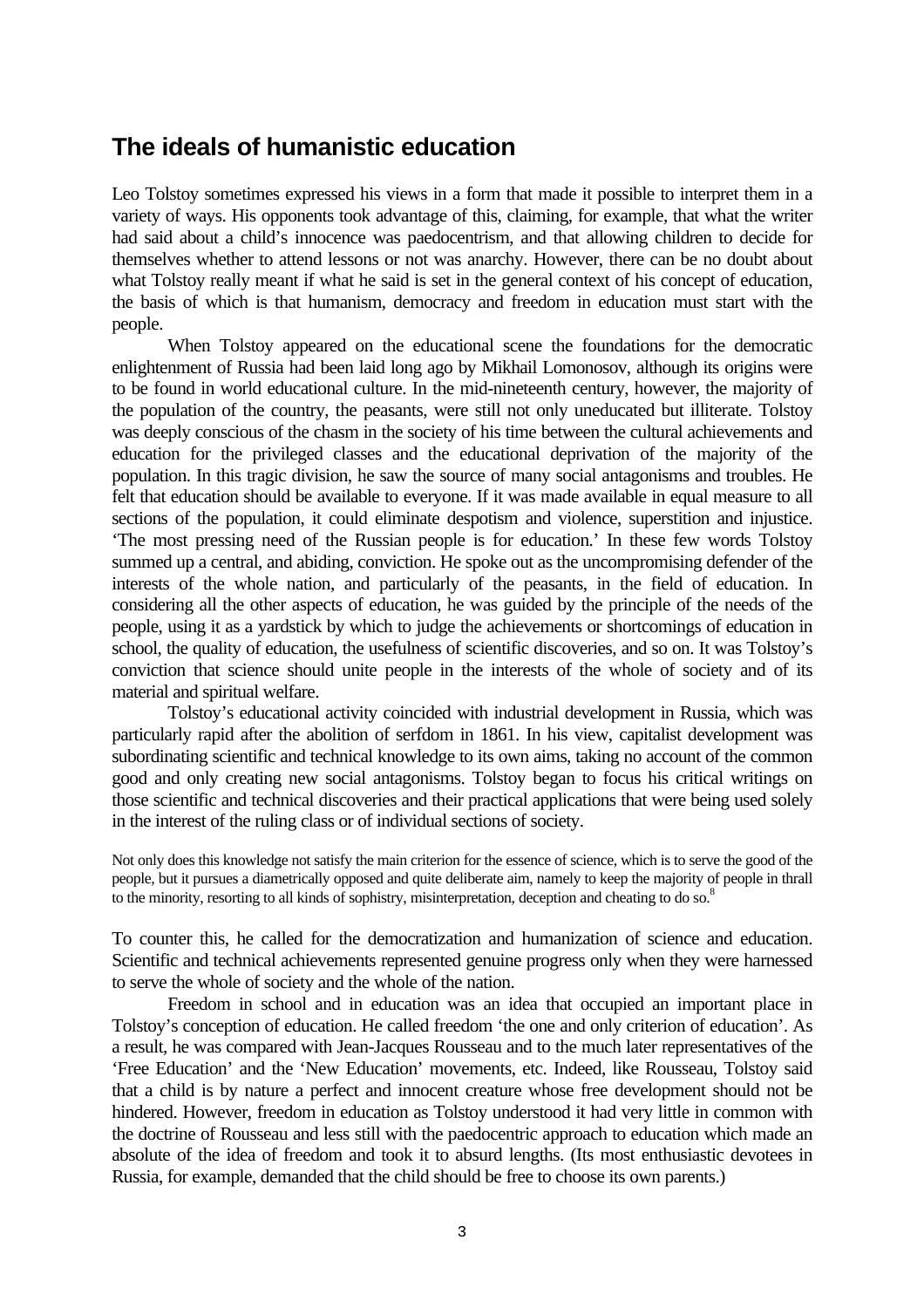#### **The ideals of humanistic education**

Leo Tolstoy sometimes expressed his views in a form that made it possible to interpret them in a variety of ways. His opponents took advantage of this, claiming, for example, that what the writer had said about a child's innocence was paedocentrism, and that allowing children to decide for themselves whether to attend lessons or not was anarchy. However, there can be no doubt about what Tolstoy really meant if what he said is set in the general context of his concept of education, the basis of which is that humanism, democracy and freedom in education must start with the people.

When Tolstoy appeared on the educational scene the foundations for the democratic enlightenment of Russia had been laid long ago by Mikhail Lomonosov, although its origins were to be found in world educational culture. In the mid-nineteenth century, however, the majority of the population of the country, the peasants, were still not only uneducated but illiterate. Tolstoy was deeply conscious of the chasm in the society of his time between the cultural achievements and education for the privileged classes and the educational deprivation of the majority of the population. In this tragic division, he saw the source of many social antagonisms and troubles. He felt that education should be available to everyone. If it was made available in equal measure to all sections of the population, it could eliminate despotism and violence, superstition and injustice. 'The most pressing need of the Russian people is for education.' In these few words Tolstoy summed up a central, and abiding, conviction. He spoke out as the uncompromising defender of the interests of the whole nation, and particularly of the peasants, in the field of education. In considering all the other aspects of education, he was guided by the principle of the needs of the people, using it as a yardstick by which to judge the achievements or shortcomings of education in school, the quality of education, the usefulness of scientific discoveries, and so on. It was Tolstoy's conviction that science should unite people in the interests of the whole of society and of its material and spiritual welfare.

Tolstoy's educational activity coincided with industrial development in Russia, which was particularly rapid after the abolition of serfdom in 1861. In his view, capitalist development was subordinating scientific and technical knowledge to its own aims, taking no account of the common good and only creating new social antagonisms. Tolstoy began to focus his critical writings on those scientific and technical discoveries and their practical applications that were being used solely in the interest of the ruling class or of individual sections of society.

Not only does this knowledge not satisfy the main criterion for the essence of science, which is to serve the good of the people, but it pursues a diametrically opposed and quite deliberate aim, namely to keep the majority of people in thrall to the minority, resorting to all kinds of sophistry, misinterpretation, deception and cheating to do so.<sup>8</sup>

To counter this, he called for the democratization and humanization of science and education. Scientific and technical achievements represented genuine progress only when they were harnessed to serve the whole of society and the whole of the nation.

Freedom in school and in education was an idea that occupied an important place in Tolstoy's conception of education. He called freedom 'the one and only criterion of education'. As a result, he was compared with Jean-Jacques Rousseau and to the much later representatives of the 'Free Education' and the 'New Education' movements, etc. Indeed, like Rousseau, Tolstoy said that a child is by nature a perfect and innocent creature whose free development should not be hindered. However, freedom in education as Tolstoy understood it had very little in common with the doctrine of Rousseau and less still with the paedocentric approach to education which made an absolute of the idea of freedom and took it to absurd lengths. (Its most enthusiastic devotees in Russia, for example, demanded that the child should be free to choose its own parents.)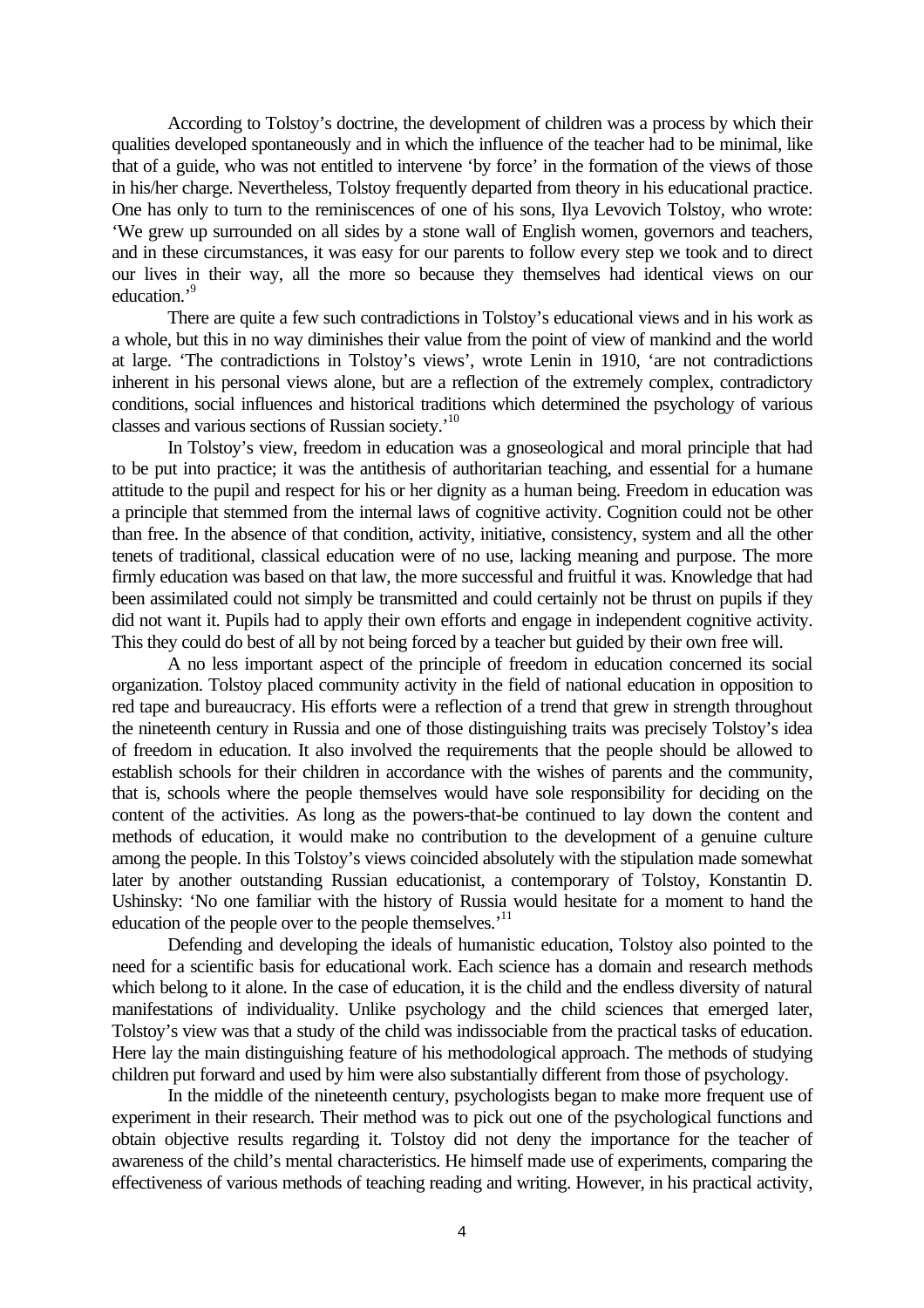According to Tolstoy's doctrine, the development of children was a process by which their qualities developed spontaneously and in which the influence of the teacher had to be minimal, like that of a guide, who was not entitled to intervene 'by force' in the formation of the views of those in his/her charge. Nevertheless, Tolstoy frequently departed from theory in his educational practice. One has only to turn to the reminiscences of one of his sons, Ilya Levovich Tolstoy, who wrote: 'We grew up surrounded on all sides by a stone wall of English women, governors and teachers, and in these circumstances, it was easy for our parents to follow every step we took and to direct our lives in their way, all the more so because they themselves had identical views on our education."

There are quite a few such contradictions in Tolstoy's educational views and in his work as a whole, but this in no way diminishes their value from the point of view of mankind and the world at large. 'The contradictions in Tolstoy's views', wrote Lenin in 1910, 'are not contradictions inherent in his personal views alone, but are a reflection of the extremely complex, contradictory conditions, social influences and historical traditions which determined the psychology of various classes and various sections of Russian society.'<sup>10</sup>

In Tolstoy's view, freedom in education was a gnoseological and moral principle that had to be put into practice; it was the antithesis of authoritarian teaching, and essential for a humane attitude to the pupil and respect for his or her dignity as a human being. Freedom in education was a principle that stemmed from the internal laws of cognitive activity. Cognition could not be other than free. In the absence of that condition, activity, initiative, consistency, system and all the other tenets of traditional, classical education were of no use, lacking meaning and purpose. The more firmly education was based on that law, the more successful and fruitful it was. Knowledge that had been assimilated could not simply be transmitted and could certainly not be thrust on pupils if they did not want it. Pupils had to apply their own efforts and engage in independent cognitive activity. This they could do best of all by not being forced by a teacher but guided by their own free will.

A no less important aspect of the principle of freedom in education concerned its social organization. Tolstoy placed community activity in the field of national education in opposition to red tape and bureaucracy. His efforts were a reflection of a trend that grew in strength throughout the nineteenth century in Russia and one of those distinguishing traits was precisely Tolstoy's idea of freedom in education. It also involved the requirements that the people should be allowed to establish schools for their children in accordance with the wishes of parents and the community, that is, schools where the people themselves would have sole responsibility for deciding on the content of the activities. As long as the powers-that-be continued to lay down the content and methods of education, it would make no contribution to the development of a genuine culture among the people. In this Tolstoy's views coincided absolutely with the stipulation made somewhat later by another outstanding Russian educationist, a contemporary of Tolstoy, Konstantin D. Ushinsky: 'No one familiar with the history of Russia would hesitate for a moment to hand the education of the people over to the people themselves.<sup>'11</sup>

Defending and developing the ideals of humanistic education, Tolstoy also pointed to the need for a scientific basis for educational work. Each science has a domain and research methods which belong to it alone. In the case of education, it is the child and the endless diversity of natural manifestations of individuality. Unlike psychology and the child sciences that emerged later, Tolstoy's view was that a study of the child was indissociable from the practical tasks of education. Here lay the main distinguishing feature of his methodological approach. The methods of studying children put forward and used by him were also substantially different from those of psychology.

In the middle of the nineteenth century, psychologists began to make more frequent use of experiment in their research. Their method was to pick out one of the psychological functions and obtain objective results regarding it. Tolstoy did not deny the importance for the teacher of awareness of the child's mental characteristics. He himself made use of experiments, comparing the effectiveness of various methods of teaching reading and writing. However, in his practical activity,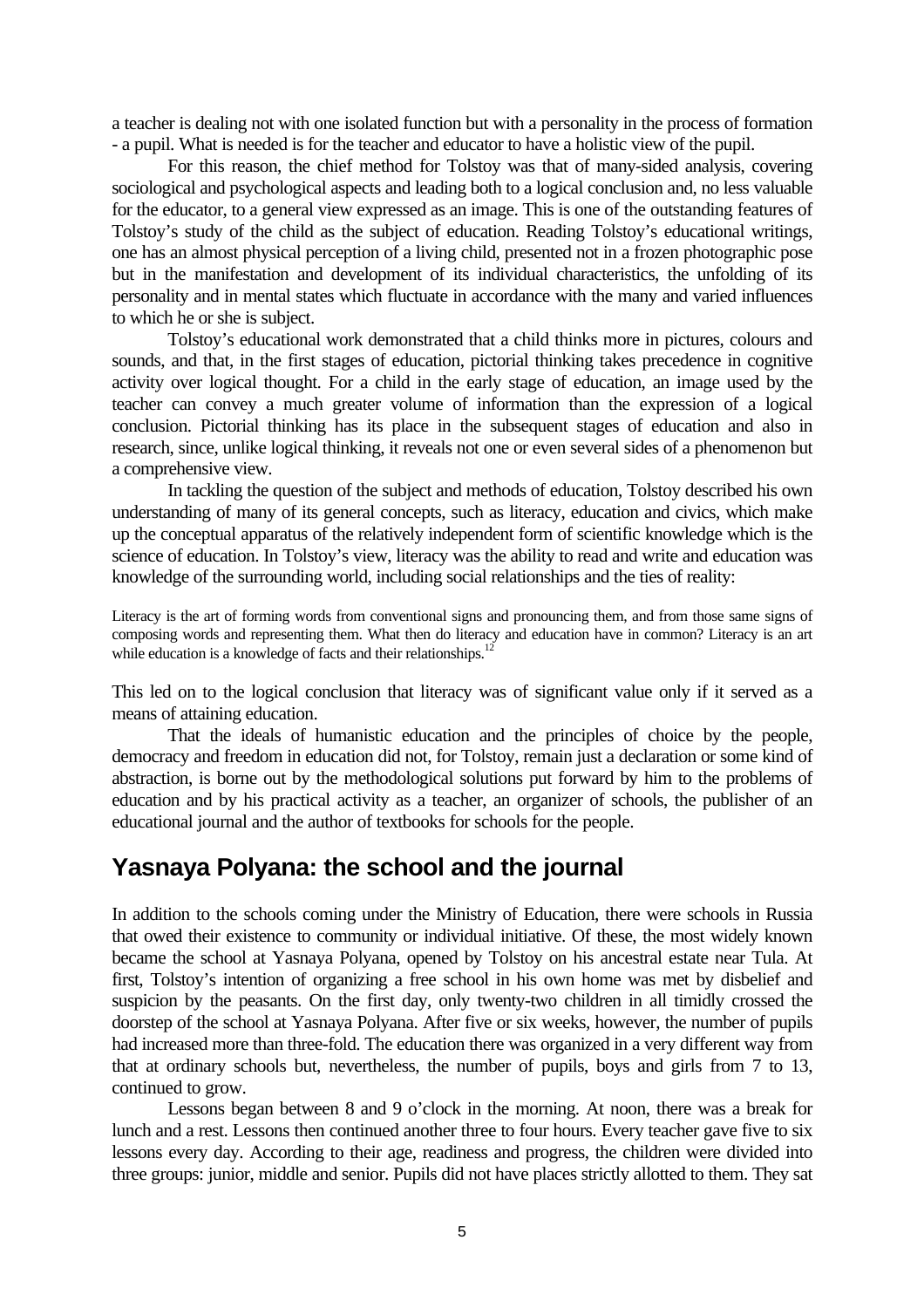a teacher is dealing not with one isolated function but with a personality in the process of formation - a pupil. What is needed is for the teacher and educator to have a holistic view of the pupil.

For this reason, the chief method for Tolstoy was that of many-sided analysis, covering sociological and psychological aspects and leading both to a logical conclusion and, no less valuable for the educator, to a general view expressed as an image. This is one of the outstanding features of Tolstoy's study of the child as the subject of education. Reading Tolstoy's educational writings, one has an almost physical perception of a living child, presented not in a frozen photographic pose but in the manifestation and development of its individual characteristics, the unfolding of its personality and in mental states which fluctuate in accordance with the many and varied influences to which he or she is subject.

Tolstoy's educational work demonstrated that a child thinks more in pictures, colours and sounds, and that, in the first stages of education, pictorial thinking takes precedence in cognitive activity over logical thought. For a child in the early stage of education, an image used by the teacher can convey a much greater volume of information than the expression of a logical conclusion. Pictorial thinking has its place in the subsequent stages of education and also in research, since, unlike logical thinking, it reveals not one or even several sides of a phenomenon but a comprehensive view.

In tackling the question of the subject and methods of education, Tolstoy described his own understanding of many of its general concepts, such as literacy, education and civics, which make up the conceptual apparatus of the relatively independent form of scientific knowledge which is the science of education. In Tolstoy's view, literacy was the ability to read and write and education was knowledge of the surrounding world, including social relationships and the ties of reality:

Literacy is the art of forming words from conventional signs and pronouncing them, and from those same signs of composing words and representing them. What then do literacy and education have in common? Literacy is an art while education is a knowledge of facts and their relationships.<sup>12</sup>

This led on to the logical conclusion that literacy was of significant value only if it served as a means of attaining education.

That the ideals of humanistic education and the principles of choice by the people, democracy and freedom in education did not, for Tolstoy, remain just a declaration or some kind of abstraction, is borne out by the methodological solutions put forward by him to the problems of education and by his practical activity as a teacher, an organizer of schools, the publisher of an educational journal and the author of textbooks for schools for the people.

## **Yasnaya Polyana: the school and the journal**

In addition to the schools coming under the Ministry of Education, there were schools in Russia that owed their existence to community or individual initiative. Of these, the most widely known became the school at Yasnaya Polyana, opened by Tolstoy on his ancestral estate near Tula. At first, Tolstoy's intention of organizing a free school in his own home was met by disbelief and suspicion by the peasants. On the first day, only twenty-two children in all timidly crossed the doorstep of the school at Yasnaya Polyana. After five or six weeks, however, the number of pupils had increased more than three-fold. The education there was organized in a very different way from that at ordinary schools but, nevertheless, the number of pupils, boys and girls from 7 to 13, continued to grow.

Lessons began between 8 and 9 o'clock in the morning. At noon, there was a break for lunch and a rest. Lessons then continued another three to four hours. Every teacher gave five to six lessons every day. According to their age, readiness and progress, the children were divided into three groups: junior, middle and senior. Pupils did not have places strictly allotted to them. They sat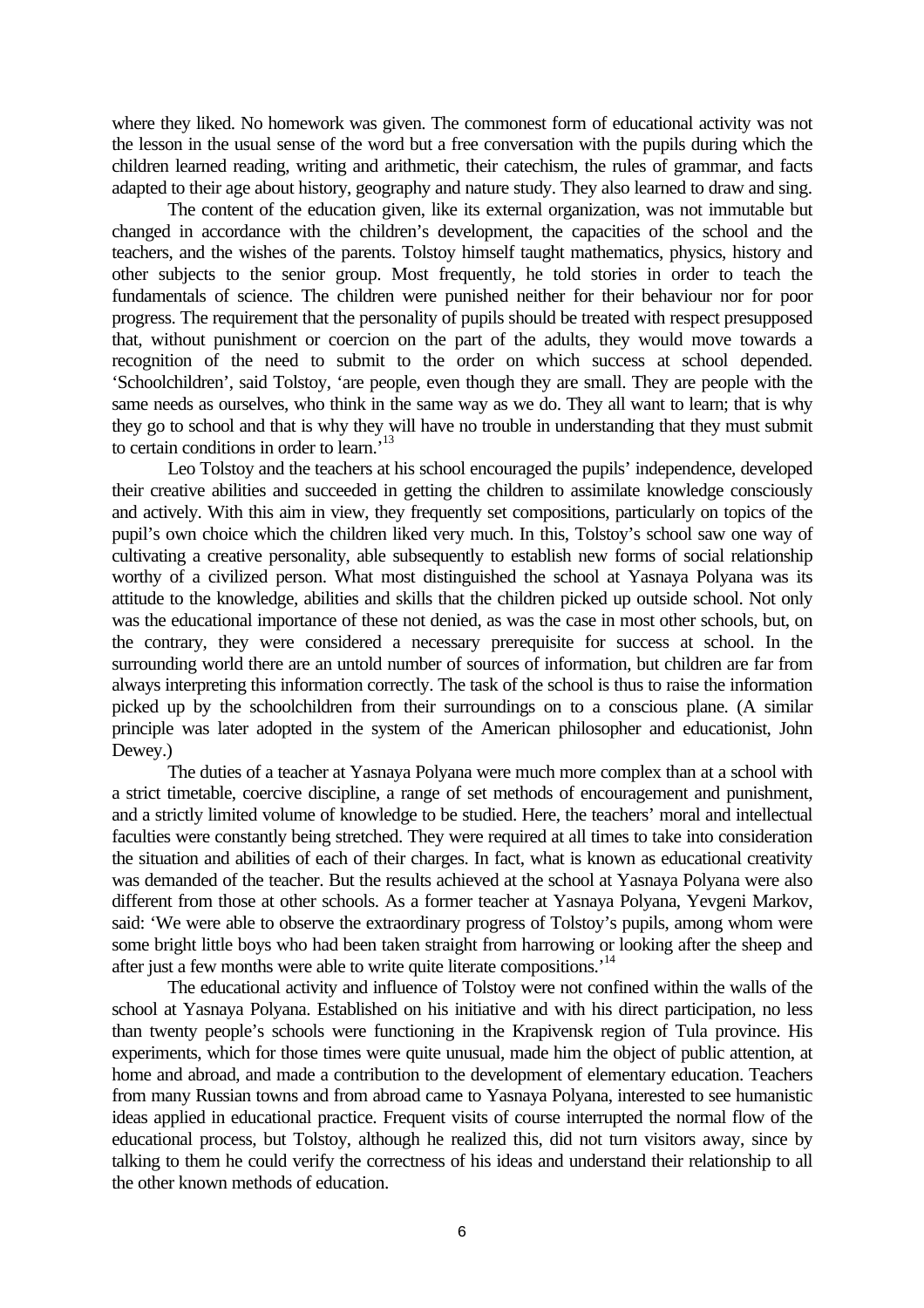where they liked. No homework was given. The commonest form of educational activity was not the lesson in the usual sense of the word but a free conversation with the pupils during which the children learned reading, writing and arithmetic, their catechism, the rules of grammar, and facts adapted to their age about history, geography and nature study. They also learned to draw and sing.

The content of the education given, like its external organization, was not immutable but changed in accordance with the children's development, the capacities of the school and the teachers, and the wishes of the parents. Tolstoy himself taught mathematics, physics, history and other subjects to the senior group. Most frequently, he told stories in order to teach the fundamentals of science. The children were punished neither for their behaviour nor for poor progress. The requirement that the personality of pupils should be treated with respect presupposed that, without punishment or coercion on the part of the adults, they would move towards a recognition of the need to submit to the order on which success at school depended. 'Schoolchildren', said Tolstoy, 'are people, even though they are small. They are people with the same needs as ourselves, who think in the same way as we do. They all want to learn; that is why they go to school and that is why they will have no trouble in understanding that they must submit to certain conditions in order to learn.<sup>13</sup>

Leo Tolstoy and the teachers at his school encouraged the pupils' independence, developed their creative abilities and succeeded in getting the children to assimilate knowledge consciously and actively. With this aim in view, they frequently set compositions, particularly on topics of the pupil's own choice which the children liked very much. In this, Tolstoy's school saw one way of cultivating a creative personality, able subsequently to establish new forms of social relationship worthy of a civilized person. What most distinguished the school at Yasnaya Polyana was its attitude to the knowledge, abilities and skills that the children picked up outside school. Not only was the educational importance of these not denied, as was the case in most other schools, but, on the contrary, they were considered a necessary prerequisite for success at school. In the surrounding world there are an untold number of sources of information, but children are far from always interpreting this information correctly. The task of the school is thus to raise the information picked up by the schoolchildren from their surroundings on to a conscious plane. (A similar principle was later adopted in the system of the American philosopher and educationist, John Dewey.)

The duties of a teacher at Yasnaya Polyana were much more complex than at a school with a strict timetable, coercive discipline, a range of set methods of encouragement and punishment, and a strictly limited volume of knowledge to be studied. Here, the teachers' moral and intellectual faculties were constantly being stretched. They were required at all times to take into consideration the situation and abilities of each of their charges. In fact, what is known as educational creativity was demanded of the teacher. But the results achieved at the school at Yasnaya Polyana were also different from those at other schools. As a former teacher at Yasnaya Polyana, Yevgeni Markov, said: 'We were able to observe the extraordinary progress of Tolstoy's pupils, among whom were some bright little boys who had been taken straight from harrowing or looking after the sheep and after just a few months were able to write quite literate compositions.<sup>14</sup>

The educational activity and influence of Tolstoy were not confined within the walls of the school at Yasnaya Polyana. Established on his initiative and with his direct participation, no less than twenty people's schools were functioning in the Krapivensk region of Tula province. His experiments, which for those times were quite unusual, made him the object of public attention, at home and abroad, and made a contribution to the development of elementary education. Teachers from many Russian towns and from abroad came to Yasnaya Polyana, interested to see humanistic ideas applied in educational practice. Frequent visits of course interrupted the normal flow of the educational process, but Tolstoy, although he realized this, did not turn visitors away, since by talking to them he could verify the correctness of his ideas and understand their relationship to all the other known methods of education.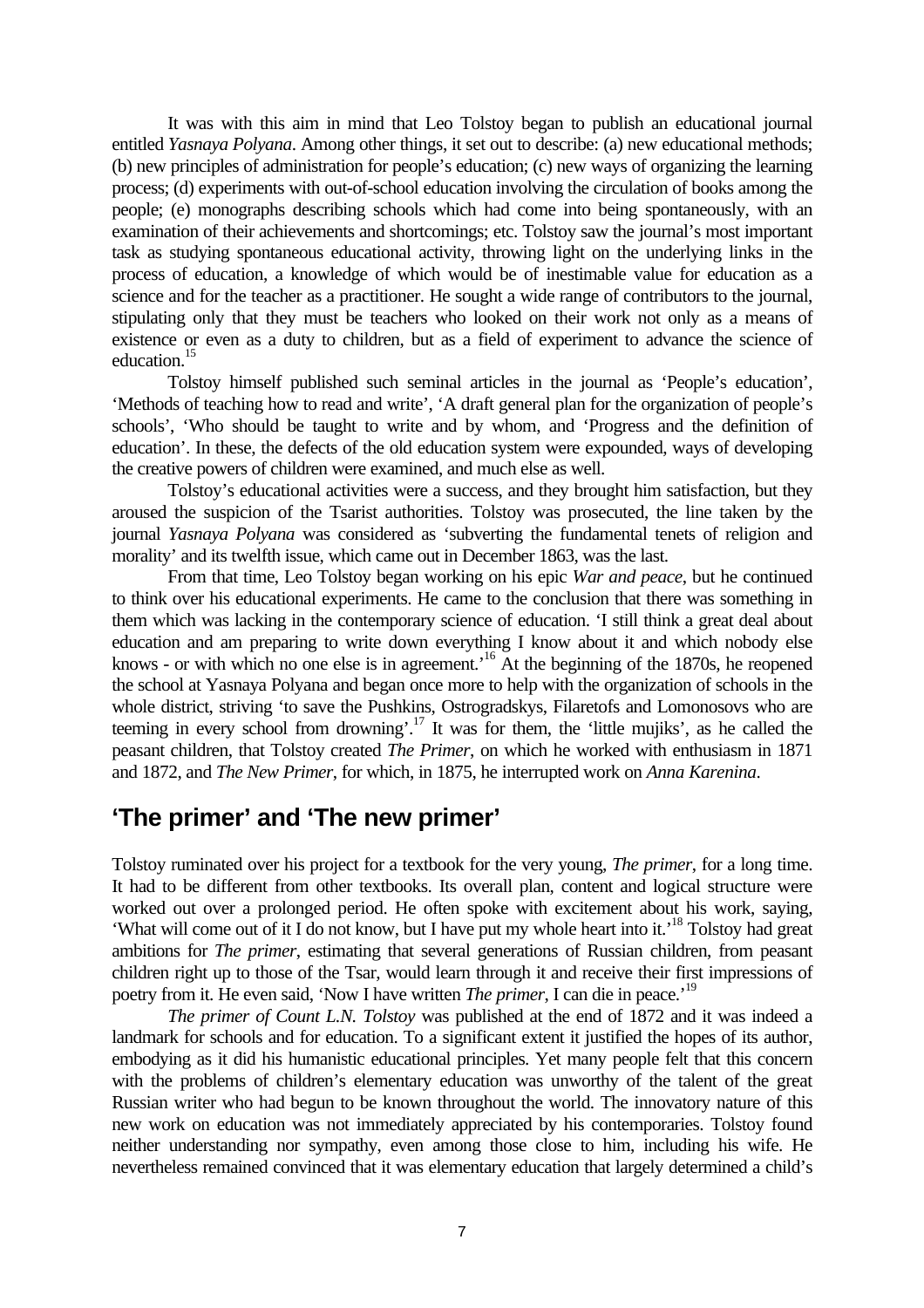It was with this aim in mind that Leo Tolstoy began to publish an educational journal entitled *Yasnaya Polyana*. Among other things, it set out to describe: (a) new educational methods; (b) new principles of administration for people's education; (c) new ways of organizing the learning process; (d) experiments with out-of-school education involving the circulation of books among the people; (e) monographs describing schools which had come into being spontaneously, with an examination of their achievements and shortcomings; etc. Tolstoy saw the journal's most important task as studying spontaneous educational activity, throwing light on the underlying links in the process of education, a knowledge of which would be of inestimable value for education as a science and for the teacher as a practitioner. He sought a wide range of contributors to the journal, stipulating only that they must be teachers who looked on their work not only as a means of existence or even as a duty to children, but as a field of experiment to advance the science of education.<sup>15</sup>

Tolstoy himself published such seminal articles in the journal as 'People's education', 'Methods of teaching how to read and write', 'A draft general plan for the organization of people's schools', 'Who should be taught to write and by whom, and 'Progress and the definition of education'. In these, the defects of the old education system were expounded, ways of developing the creative powers of children were examined, and much else as well.

Tolstoy's educational activities were a success, and they brought him satisfaction, but they aroused the suspicion of the Tsarist authorities. Tolstoy was prosecuted, the line taken by the journal *Yasnaya Polyana* was considered as 'subverting the fundamental tenets of religion and morality' and its twelfth issue, which came out in December 1863, was the last.

From that time, Leo Tolstoy began working on his epic *War and peace*, but he continued to think over his educational experiments. He came to the conclusion that there was something in them which was lacking in the contemporary science of education. 'I still think a great deal about education and am preparing to write down everything I know about it and which nobody else knows - or with which no one else is in agreement.<sup>16</sup> At the beginning of the 1870s, he reopened the school at Yasnaya Polyana and began once more to help with the organization of schools in the whole district, striving 'to save the Pushkins, Ostrogradskys, Filaretofs and Lomonosovs who are teeming in every school from drowning'.<sup>17</sup> It was for them, the 'little mujiks', as he called the peasant children, that Tolstoy created *The Primer*, on which he worked with enthusiasm in 1871 and 1872, and *The New Primer*, for which, in 1875, he interrupted work on *Anna Karenina*.

### **'The primer' and 'The new primer'**

Tolstoy ruminated over his project for a textbook for the very young, *The primer*, for a long time. It had to be different from other textbooks. Its overall plan, content and logical structure were worked out over a prolonged period. He often spoke with excitement about his work, saying, 'What will come out of it I do not know, but I have put my whole heart into it.'<sup>18</sup> Tolstoy had great ambitions for *The primer*, estimating that several generations of Russian children, from peasant children right up to those of the Tsar, would learn through it and receive their first impressions of poetry from it. He even said, 'Now I have written *The primer*, I can die in peace.'<sup>19</sup>

*The primer of Count L.N. Tolstoy* was published at the end of 1872 and it was indeed a landmark for schools and for education. To a significant extent it justified the hopes of its author, embodying as it did his humanistic educational principles. Yet many people felt that this concern with the problems of children's elementary education was unworthy of the talent of the great Russian writer who had begun to be known throughout the world. The innovatory nature of this new work on education was not immediately appreciated by his contemporaries. Tolstoy found neither understanding nor sympathy, even among those close to him, including his wife. He nevertheless remained convinced that it was elementary education that largely determined a child's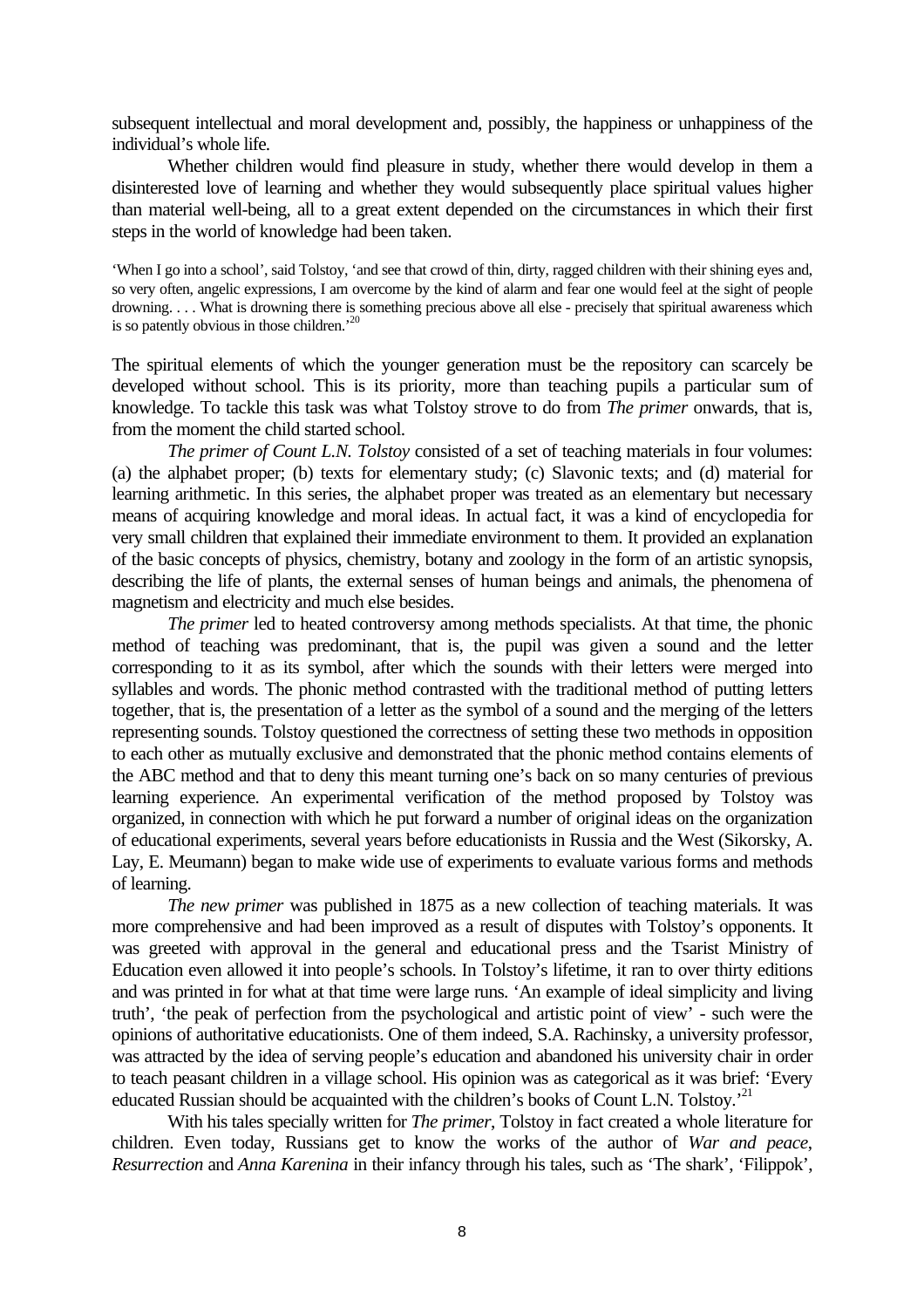subsequent intellectual and moral development and, possibly, the happiness or unhappiness of the individual's whole life.

Whether children would find pleasure in study, whether there would develop in them a disinterested love of learning and whether they would subsequently place spiritual values higher than material well-being, all to a great extent depended on the circumstances in which their first steps in the world of knowledge had been taken.

'When I go into a school', said Tolstoy, 'and see that crowd of thin, dirty, ragged children with their shining eyes and, so very often, angelic expressions, I am overcome by the kind of alarm and fear one would feel at the sight of people drowning. . . . What is drowning there is something precious above all else - precisely that spiritual awareness which is so patently obvious in those children.<sup>20</sup>

The spiritual elements of which the younger generation must be the repository can scarcely be developed without school. This is its priority, more than teaching pupils a particular sum of knowledge. To tackle this task was what Tolstoy strove to do from *The primer* onwards, that is, from the moment the child started school.

*The primer of Count L.N. Tolstoy* consisted of a set of teaching materials in four volumes: (a) the alphabet proper; (b) texts for elementary study; (c) Slavonic texts; and (d) material for learning arithmetic. In this series, the alphabet proper was treated as an elementary but necessary means of acquiring knowledge and moral ideas. In actual fact, it was a kind of encyclopedia for very small children that explained their immediate environment to them. It provided an explanation of the basic concepts of physics, chemistry, botany and zoology in the form of an artistic synopsis, describing the life of plants, the external senses of human beings and animals, the phenomena of magnetism and electricity and much else besides.

*The primer* led to heated controversy among methods specialists. At that time, the phonic method of teaching was predominant, that is, the pupil was given a sound and the letter corresponding to it as its symbol, after which the sounds with their letters were merged into syllables and words. The phonic method contrasted with the traditional method of putting letters together, that is, the presentation of a letter as the symbol of a sound and the merging of the letters representing sounds. Tolstoy questioned the correctness of setting these two methods in opposition to each other as mutually exclusive and demonstrated that the phonic method contains elements of the ABC method and that to deny this meant turning one's back on so many centuries of previous learning experience. An experimental verification of the method proposed by Tolstoy was organized, in connection with which he put forward a number of original ideas on the organization of educational experiments, several years before educationists in Russia and the West (Sikorsky, A. Lay, E. Meumann) began to make wide use of experiments to evaluate various forms and methods of learning.

*The new primer* was published in 1875 as a new collection of teaching materials. It was more comprehensive and had been improved as a result of disputes with Tolstoy's opponents. It was greeted with approval in the general and educational press and the Tsarist Ministry of Education even allowed it into people's schools. In Tolstoy's lifetime, it ran to over thirty editions and was printed in for what at that time were large runs. 'An example of ideal simplicity and living truth', 'the peak of perfection from the psychological and artistic point of view' - such were the opinions of authoritative educationists. One of them indeed, S.A. Rachinsky, a university professor, was attracted by the idea of serving people's education and abandoned his university chair in order to teach peasant children in a village school. His opinion was as categorical as it was brief: 'Every educated Russian should be acquainted with the children's books of Count L.N. Tolstoy.<sup>21</sup>

With his tales specially written for *The primer*, Tolstoy in fact created a whole literature for children. Even today, Russians get to know the works of the author of *War and peace*, *Resurrection* and *Anna Karenina* in their infancy through his tales, such as 'The shark', 'Filippok',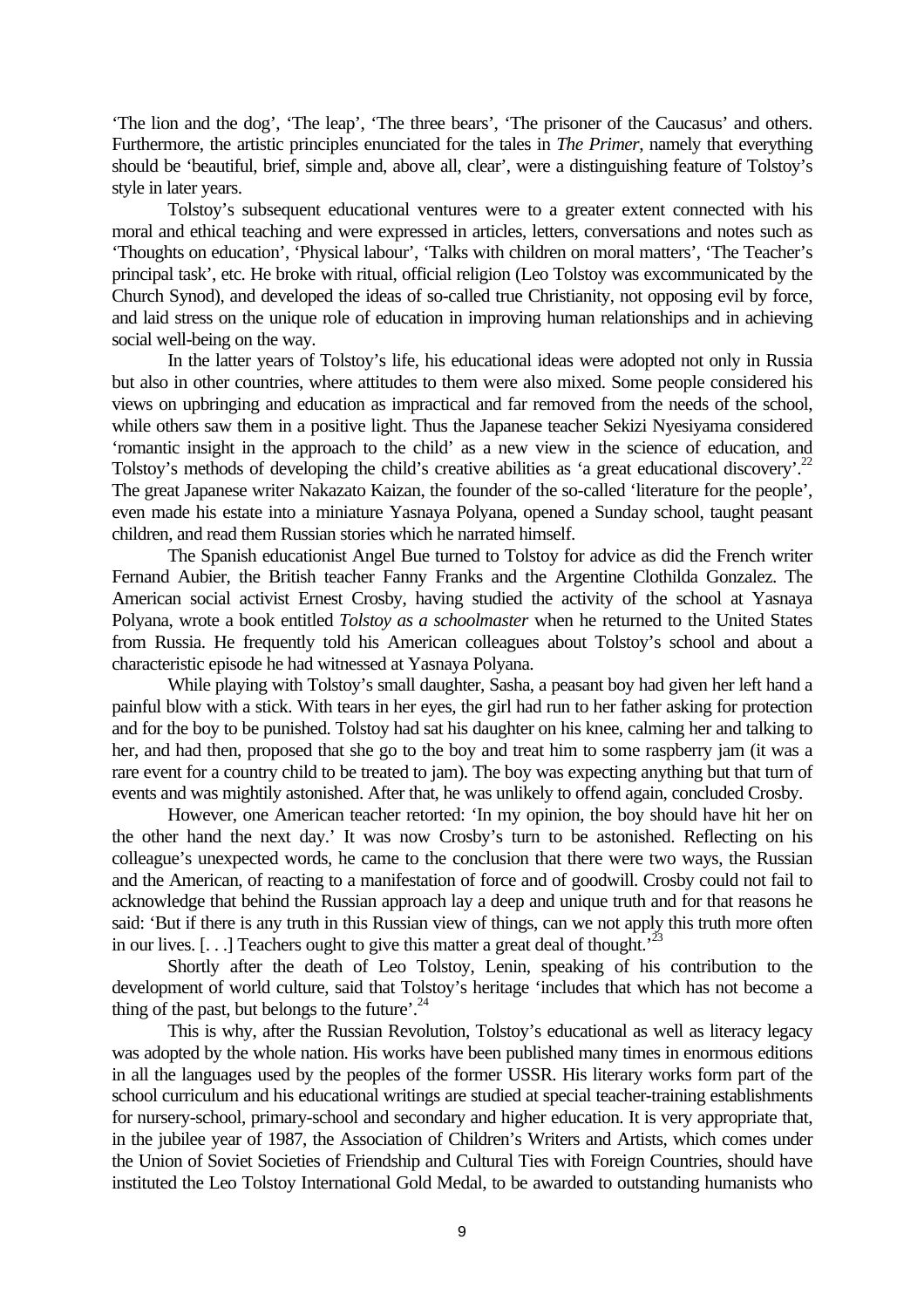'The lion and the dog', 'The leap', 'The three bears', 'The prisoner of the Caucasus' and others. Furthermore, the artistic principles enunciated for the tales in *The Primer*, namely that everything should be 'beautiful, brief, simple and, above all, clear', were a distinguishing feature of Tolstoy's style in later years.

Tolstoy's subsequent educational ventures were to a greater extent connected with his moral and ethical teaching and were expressed in articles, letters, conversations and notes such as 'Thoughts on education', 'Physical labour', 'Talks with children on moral matters', 'The Teacher's principal task', etc. He broke with ritual, official religion (Leo Tolstoy was excommunicated by the Church Synod), and developed the ideas of so-called true Christianity, not opposing evil by force, and laid stress on the unique role of education in improving human relationships and in achieving social well-being on the way.

In the latter years of Tolstoy's life, his educational ideas were adopted not only in Russia but also in other countries, where attitudes to them were also mixed. Some people considered his views on upbringing and education as impractical and far removed from the needs of the school, while others saw them in a positive light. Thus the Japanese teacher Sekizi Nyesiyama considered 'romantic insight in the approach to the child' as a new view in the science of education, and Tolstoy's methods of developing the child's creative abilities as 'a great educational discovery'.<sup>22</sup> The great Japanese writer Nakazato Kaizan, the founder of the so-called 'literature for the people', even made his estate into a miniature Yasnaya Polyana, opened a Sunday school, taught peasant children, and read them Russian stories which he narrated himself.

The Spanish educationist Angel Bue turned to Tolstoy for advice as did the French writer Fernand Aubier, the British teacher Fanny Franks and the Argentine Clothilda Gonzalez. The American social activist Ernest Crosby, having studied the activity of the school at Yasnaya Polyana, wrote a book entitled *Tolstoy as a schoolmaster* when he returned to the United States from Russia. He frequently told his American colleagues about Tolstoy's school and about a characteristic episode he had witnessed at Yasnaya Polyana.

While playing with Tolstoy's small daughter, Sasha, a peasant boy had given her left hand a painful blow with a stick. With tears in her eyes, the girl had run to her father asking for protection and for the boy to be punished. Tolstoy had sat his daughter on his knee, calming her and talking to her, and had then, proposed that she go to the boy and treat him to some raspberry jam (it was a rare event for a country child to be treated to jam). The boy was expecting anything but that turn of events and was mightily astonished. After that, he was unlikely to offend again, concluded Crosby.

However, one American teacher retorted: 'In my opinion, the boy should have hit her on the other hand the next day.' It was now Crosby's turn to be astonished. Reflecting on his colleague's unexpected words, he came to the conclusion that there were two ways, the Russian and the American, of reacting to a manifestation of force and of goodwill. Crosby could not fail to acknowledge that behind the Russian approach lay a deep and unique truth and for that reasons he said: 'But if there is any truth in this Russian view of things, can we not apply this truth more often in our lives.  $[...]$  Teachers ought to give this matter a great deal of thought.<sup>2</sup>

Shortly after the death of Leo Tolstoy, Lenin, speaking of his contribution to the development of world culture, said that Tolstoy's heritage 'includes that which has not become a thing of the past, but belongs to the future'. $^{24}$ 

This is why, after the Russian Revolution, Tolstoy's educational as well as literacy legacy was adopted by the whole nation. His works have been published many times in enormous editions in all the languages used by the peoples of the former USSR. His literary works form part of the school curriculum and his educational writings are studied at special teacher-training establishments for nursery-school, primary-school and secondary and higher education. It is very appropriate that, in the jubilee year of 1987, the Association of Children's Writers and Artists, which comes under the Union of Soviet Societies of Friendship and Cultural Ties with Foreign Countries, should have instituted the Leo Tolstoy International Gold Medal, to be awarded to outstanding humanists who